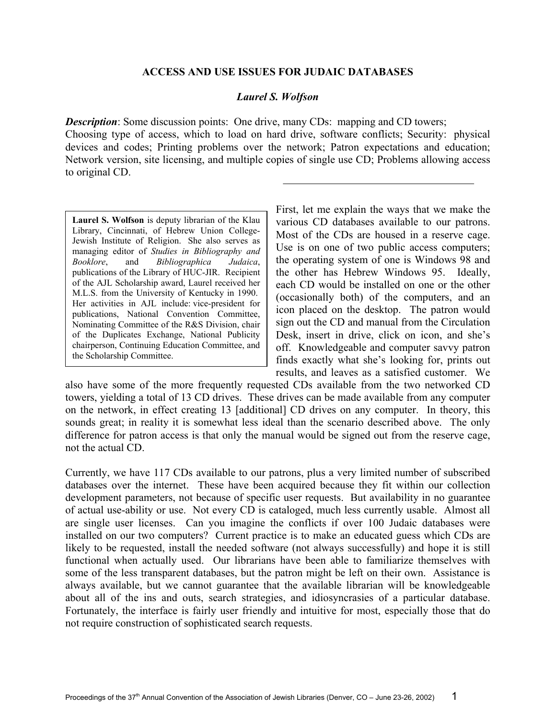## **ACCESS AND USE ISSUES FOR JUDAIC DATABASES**

## *Laurel S. Wolfson*

*Description*: Some discussion points: One drive, many CDs: mapping and CD towers; Choosing type of access, which to load on hard drive, software conflicts; Security: physical devices and codes; Printing problems over the network; Patron expectations and education; Network version, site licensing, and multiple copies of single use CD; Problems allowing access to original CD.

**Laurel S. Wolfson** is deputy librarian of the Klau Library, Cincinnati, of Hebrew Union College-Jewish Institute of Religion. She also serves as managing editor of *Studies in Bibliography and Booklore*, and *Bibliographica Judaica*, publications of the Library of HUC-JIR. Recipient of the AJL Scholarship award, Laurel received her M.L.S. from the University of Kentucky in 1990. Her activities in AJL include: vice-president for publications, National Convention Committee, Nominating Committee of the R&S Division, chair of the Duplicates Exchange, National Publicity chairperson, Continuing Education Committee, and the Scholarship Committee.

First, let me explain the ways that we make the various CD databases available to our patrons. Most of the CDs are housed in a reserve cage. Use is on one of two public access computers; the operating system of one is Windows 98 and the other has Hebrew Windows 95. Ideally, each CD would be installed on one or the other (occasionally both) of the computers, and an icon placed on the desktop. The patron would sign out the CD and manual from the Circulation Desk, insert in drive, click on icon, and she's off. Knowledgeable and computer savvy patron finds exactly what she's looking for, prints out results, and leaves as a satisfied customer. We

also have some of the more frequently requested CDs available from the two networked CD towers, yielding a total of 13 CD drives. These drives can be made available from any computer on the network, in effect creating 13 [additional] CD drives on any computer. In theory, this sounds great; in reality it is somewhat less ideal than the scenario described above. The only difference for patron access is that only the manual would be signed out from the reserve cage, not the actual CD.

Currently, we have 117 CDs available to our patrons, plus a very limited number of subscribed databases over the internet. These have been acquired because they fit within our collection development parameters, not because of specific user requests. But availability in no guarantee of actual use-ability or use. Not every CD is cataloged, much less currently usable. Almost all are single user licenses. Can you imagine the conflicts if over 100 Judaic databases were installed on our two computers? Current practice is to make an educated guess which CDs are likely to be requested, install the needed software (not always successfully) and hope it is still functional when actually used. Our librarians have been able to familiarize themselves with some of the less transparent databases, but the patron might be left on their own. Assistance is always available, but we cannot guarantee that the available librarian will be knowledgeable about all of the ins and outs, search strategies, and idiosyncrasies of a particular database. Fortunately, the interface is fairly user friendly and intuitive for most, especially those that do not require construction of sophisticated search requests.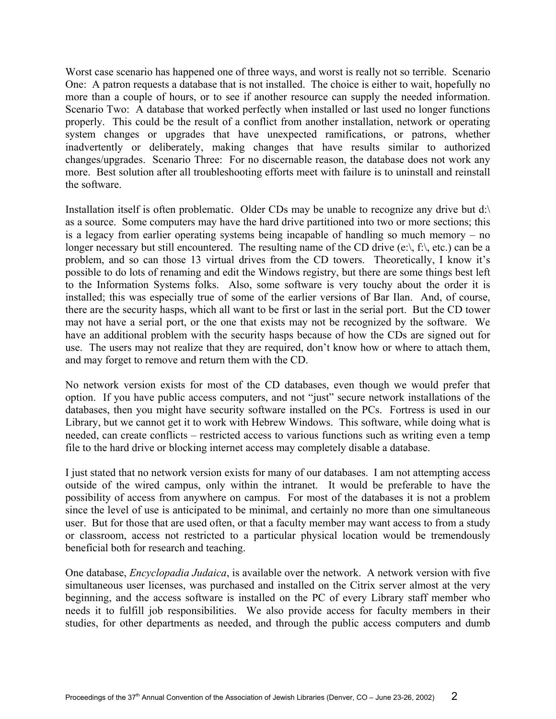Worst case scenario has happened one of three ways, and worst is really not so terrible. Scenario One: A patron requests a database that is not installed. The choice is either to wait, hopefully no more than a couple of hours, or to see if another resource can supply the needed information. Scenario Two: A database that worked perfectly when installed or last used no longer functions properly. This could be the result of a conflict from another installation, network or operating system changes or upgrades that have unexpected ramifications, or patrons, whether inadvertently or deliberately, making changes that have results similar to authorized changes/upgrades. Scenario Three: For no discernable reason, the database does not work any more. Best solution after all troubleshooting efforts meet with failure is to uninstall and reinstall the software.

Installation itself is often problematic. Older CDs may be unable to recognize any drive but d:\ as a source. Some computers may have the hard drive partitioned into two or more sections; this is a legacy from earlier operating systems being incapable of handling so much memory – no longer necessary but still encountered. The resulting name of the CD drive  $(e \setminus, f \setminus, etc.)$  can be a problem, and so can those 13 virtual drives from the CD towers. Theoretically, I know it's possible to do lots of renaming and edit the Windows registry, but there are some things best left to the Information Systems folks. Also, some software is very touchy about the order it is installed; this was especially true of some of the earlier versions of Bar Ilan. And, of course, there are the security hasps, which all want to be first or last in the serial port. But the CD tower may not have a serial port, or the one that exists may not be recognized by the software. We have an additional problem with the security hasps because of how the CDs are signed out for use. The users may not realize that they are required, don't know how or where to attach them, and may forget to remove and return them with the CD.

No network version exists for most of the CD databases, even though we would prefer that option. If you have public access computers, and not "just" secure network installations of the databases, then you might have security software installed on the PCs. Fortress is used in our Library, but we cannot get it to work with Hebrew Windows. This software, while doing what is needed, can create conflicts – restricted access to various functions such as writing even a temp file to the hard drive or blocking internet access may completely disable a database.

I just stated that no network version exists for many of our databases. I am not attempting access outside of the wired campus, only within the intranet. It would be preferable to have the possibility of access from anywhere on campus. For most of the databases it is not a problem since the level of use is anticipated to be minimal, and certainly no more than one simultaneous user. But for those that are used often, or that a faculty member may want access to from a study or classroom, access not restricted to a particular physical location would be tremendously beneficial both for research and teaching.

One database, *Encyclopadia Judaica*, is available over the network. A network version with five simultaneous user licenses, was purchased and installed on the Citrix server almost at the very beginning, and the access software is installed on the PC of every Library staff member who needs it to fulfill job responsibilities. We also provide access for faculty members in their studies, for other departments as needed, and through the public access computers and dumb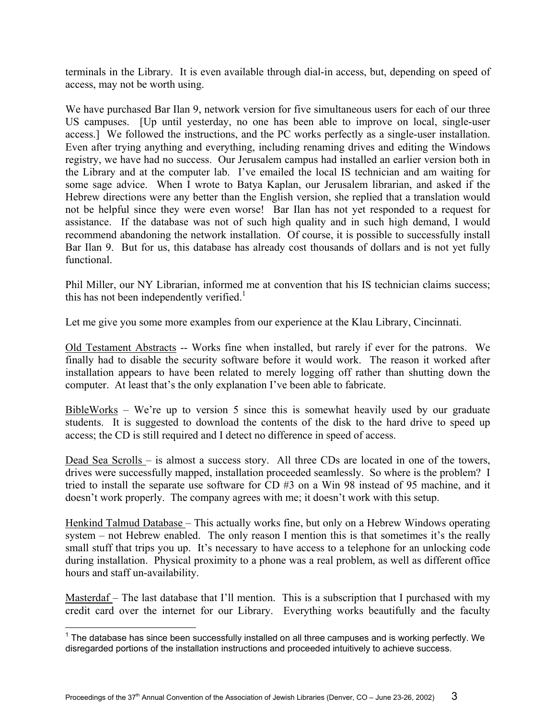terminals in the Library. It is even available through dial-in access, but, depending on speed of access, may not be worth using.

We have purchased Bar Ilan 9, network version for five simultaneous users for each of our three US campuses. [Up until yesterday, no one has been able to improve on local, single-user access.] We followed the instructions, and the PC works perfectly as a single-user installation. Even after trying anything and everything, including renaming drives and editing the Windows registry, we have had no success. Our Jerusalem campus had installed an earlier version both in the Library and at the computer lab. I've emailed the local IS technician and am waiting for some sage advice. When I wrote to Batya Kaplan, our Jerusalem librarian, and asked if the Hebrew directions were any better than the English version, she replied that a translation would not be helpful since they were even worse! Bar Ilan has not yet responded to a request for assistance. If the database was not of such high quality and in such high demand, I would recommend abandoning the network installation. Of course, it is possible to successfully install Bar Ilan 9. But for us, this database has already cost thousands of dollars and is not yet fully functional.

Phil Miller, our NY Librarian, informed me at convention that his IS technician claims success; this has not been independently verified.<sup>[1](#page-2-0)</sup>

Let me give you some more examples from our experience at the Klau Library, Cincinnati.

Old Testament Abstracts -- Works fine when installed, but rarely if ever for the patrons. We finally had to disable the security software before it would work. The reason it worked after installation appears to have been related to merely logging off rather than shutting down the computer. At least that's the only explanation I've been able to fabricate.

BibleWorks – We're up to version 5 since this is somewhat heavily used by our graduate students. It is suggested to download the contents of the disk to the hard drive to speed up access; the CD is still required and I detect no difference in speed of access.

Dead Sea Scrolls – is almost a success story. All three CDs are located in one of the towers, drives were successfully mapped, installation proceeded seamlessly. So where is the problem? I tried to install the separate use software for CD #3 on a Win 98 instead of 95 machine, and it doesn't work properly. The company agrees with me; it doesn't work with this setup.

Henkind Talmud Database – This actually works fine, but only on a Hebrew Windows operating system – not Hebrew enabled. The only reason I mention this is that sometimes it's the really small stuff that trips you up. It's necessary to have access to a telephone for an unlocking code during installation. Physical proximity to a phone was a real problem, as well as different office hours and staff un-availability.

Masterdaf – The last database that I'll mention. This is a subscription that I purchased with my credit card over the internet for our Library. Everything works beautifully and the faculty

 $\overline{a}$ 

<span id="page-2-0"></span> $1$  The database has since been successfully installed on all three campuses and is working perfectly. We disregarded portions of the installation instructions and proceeded intuitively to achieve success.